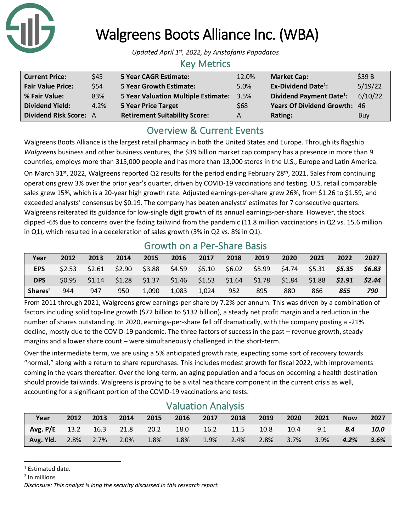

# Walgreens Boots Alliance Inc. (WBA)

*Updated April 1 st, 2022, by Aristofanis Papadatos*

## Key Metrics

| <b>Current Price:</b>    | \$45 | <b>5 Year CAGR Estimate:</b>                    | 12.0% | <b>Market Cap:</b>                   | \$39B   |
|--------------------------|------|-------------------------------------------------|-------|--------------------------------------|---------|
| <b>Fair Value Price:</b> | \$54 | <b>5 Year Growth Estimate:</b>                  | 5.0%  | <b>Ex-Dividend Date<sup>1</sup>:</b> | 5/19/22 |
| % Fair Value:            | 83%  | <b>5 Year Valuation Multiple Estimate: 3.5%</b> |       | Dividend Payment Date <sup>1</sup> : | 6/10/22 |
| <b>Dividend Yield:</b>   | 4.2% | 5 Year Price Target                             | \$68  | Years Of Dividend Growth: 46         |         |
| Dividend Risk Score: A   |      | <b>Retirement Suitability Score:</b>            | A     | Rating:                              | Buy     |

# Overview & Current Events

Walgreens Boots Alliance is the largest retail pharmacy in both the United States and Europe. Through its flagship *Walgreens* business and other business ventures, the \$39 billion market cap company has a presence in more than 9 countries, employs more than 315,000 people and has more than 13,000 stores in the U.S., Europe and Latin America.

On March 31<sup>st</sup>, 2022, Walgreens reported Q2 results for the period ending February 28<sup>th</sup>, 2021. Sales from continuing operations grew 3% over the prior year's quarter, driven by COVID-19 vaccinations and testing. U.S. retail comparable sales grew 15%, which is a 20-year high growth rate. Adjusted earnings-per-share grew 26%, from \$1.26 to \$1.59, and exceeded analysts' consensus by \$0.19. The company has beaten analysts' estimates for 7 consecutive quarters. Walgreens reiterated its guidance for low-single digit growth of its annual earnings-per-share. However, the stock dipped -6% due to concerns over the fading tailwind from the pandemic (11.8 million vaccinations in Q2 vs. 15.6 million in Q1), which resulted in a deceleration of sales growth (3% in Q2 vs. 8% in Q1).

## Growth on a Per-Share Basis

| Year                | 2012 | 2013                                                                                    | 2014 | 2015           | 2016  | 2017  | 2018 | 2019 | 2020 | 2021 | 2022 | 2027   |
|---------------------|------|-----------------------------------------------------------------------------------------|------|----------------|-------|-------|------|------|------|------|------|--------|
| EPS.                |      | \$2.53 \$2.61 \$2.90 \$3.88 \$4.59 \$5.10 \$6.02 \$5.99 \$4.74 \$5.31 <b>\$5.35</b>     |      |                |       |       |      |      |      |      |      | \$6.83 |
| <b>DPS</b>          |      | $$0.95$ $$1.14$ $$1.28$ $$1.37$ $$1.46$ $$1.53$ $$1.64$ $$1.78$ $$1.84$ $$1.88$ $$1.91$ |      |                |       |       |      |      |      |      |      | \$2.44 |
| Shares <sup>2</sup> | 944  | 947                                                                                     | 950  | $\sqrt{1,090}$ | 1.083 | 1.024 | 952  | 895  | 880  | 866  | 855  | 790    |

From 2011 through 2021, Walgreens grew earnings-per-share by 7.2% per annum. This was driven by a combination of factors including solid top-line growth (\$72 billion to \$132 billion), a steady net profit margin and a reduction in the number of shares outstanding. In 2020, earnings-per-share fell off dramatically, with the company posting a -21% decline, mostly due to the COVID-19 pandemic. The three factors of success in the past – revenue growth, steady margins and a lower share count – were simultaneously challenged in the short-term.

Over the intermediate term, we are using a 5% anticipated growth rate, expecting some sort of recovery towards "normal," along with a return to share repurchases. This includes modest growth for fiscal 2022, with improvements coming in the years thereafter. Over the long-term, an aging population and a focus on becoming a health destination should provide tailwinds. Walgreens is proving to be a vital healthcare component in the current crisis as well, accounting for a significant portion of the COVID-19 vaccinations and tests.

## Valuation Analysis

| Year                                                                 | 2012 2013 | 2014 | 2015 |         | 2016 2017 2018 2019 |                          | 2020 | 2021 | <b>Now</b>      | 2027 |
|----------------------------------------------------------------------|-----------|------|------|---------|---------------------|--------------------------|------|------|-----------------|------|
| $\sqrt{7}$ Avg. P/E 13.2 16.3 21.8 20.2 18.0 16.2 11.5 10.8 10.4 9.1 |           |      |      |         |                     |                          |      |      | 8.4             | 10.0 |
| <b>Avg. Yid.</b> 2.8% 2.7% 2.0% 1.8%                                 |           |      |      | $1.8\%$ |                     | 1.9% 2.4% 2.8% 3.7% 3.9% |      |      | $4.2\%$ $3.6\%$ |      |

<sup>&</sup>lt;sup>1</sup> Estimated date.

<sup>2</sup> In millions

*Disclosure: This analyst is long the security discussed in this research report.*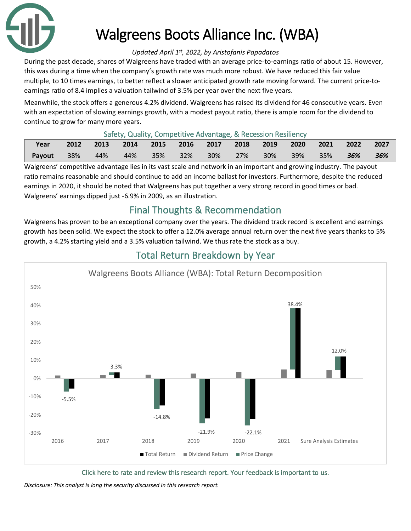

# Walgreens Boots Alliance Inc. (WBA)

#### *Updated April 1 st, 2022, by Aristofanis Papadatos*

During the past decade, shares of Walgreens have traded with an average price-to-earnings ratio of about 15. However, this was during a time when the company's growth rate was much more robust. We have reduced this fair value multiple, to 10 times earnings, to better reflect a slower anticipated growth rate moving forward. The current price-toearnings ratio of 8.4 implies a valuation tailwind of 3.5% per year over the next five years.

Meanwhile, the stock offers a generous 4.2% dividend. Walgreens has raised its dividend for 46 consecutive years. Even with an expectation of slowing earnings growth, with a modest payout ratio, there is ample room for the dividend to continue to grow for many more years.

#### Safety, Quality, Competitive Advantage, & Recession Resiliency

| Year   |     | 2012 2013 | 2014 | 2015 2016 2017 2018 2019 2020 |  |          |     |        |     | $2021$ 2022 | 2027 |
|--------|-----|-----------|------|-------------------------------|--|----------|-----|--------|-----|-------------|------|
| Payout | 38% | $44\%$    |      | 44% 35% 32%                   |  | 30%  27% | 30% | $39\%$ | 35% | $-36\%$     | 36%  |

Walgreens' competitive advantage lies in its vast scale and network in an important and growing industry. The payout ratio remains reasonable and should continue to add an income ballast for investors. Furthermore, despite the reduced earnings in 2020, it should be noted that Walgreens has put together a very strong record in good times or bad. Walgreens' earnings dipped just -6.9% in 2009, as an illustration.

## Final Thoughts & Recommendation

Walgreens has proven to be an exceptional company over the years. The dividend track record is excellent and earnings growth has been solid. We expect the stock to offer a 12.0% average annual return over the next five years thanks to 5% growth, a 4.2% starting yield and a 3.5% valuation tailwind. We thus rate the stock as a buy.



# Total Return Breakdown by Year

*Disclosure: This analyst is long the security discussed in this research report.*